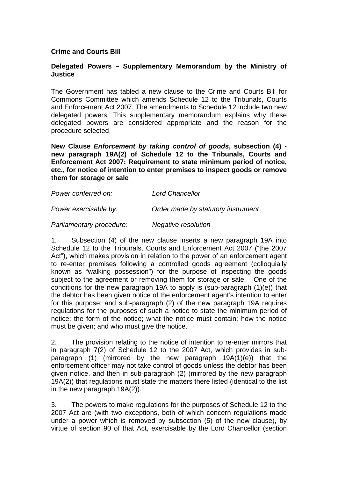## **Crime and Courts Bill**

## **Delegated Powers – Supplementary Memorandum by the Ministry of Justice**

The Government has tabled a new clause to the Crime and Courts Bill for Commons Committee which amends Schedule 12 to the Tribunals, Courts and Enforcement Act 2007. The amendments to Schedule 12 include two new delegated powers. This supplementary memorandum explains why these delegated powers are considered appropriate and the reason for the procedure selected.

**New Clause** *Enforcement by taking control of goods***, subsection (4) new paragraph 19A(2) of Schedule 12 to the Tribunals, Courts and Enforcement Act 2007: Requirement to state minimum period of notice, etc., for notice of intention to enter premises to inspect goods or remove them for storage or sale**

| Power conferred on:   | <b>Lord Chancellor</b>             |
|-----------------------|------------------------------------|
| Power exercisable by: | Order made by statutory instrument |

## *Parliamentary procedure: Negative resolution*

1. Subsection (4) of the new clause inserts a new paragraph 19A into Schedule 12 to the Tribunals, Courts and Enforcement Act 2007 ("the 2007 Act"), which makes provision in relation to the power of an enforcement agent to re-enter premises following a controlled goods agreement (colloquially known as "walking possession") for the purpose of inspecting the goods subject to the agreement or removing them for storage or sale. One of the conditions for the new paragraph 19A to apply is (sub-paragraph (1)(e)) that the debtor has been given notice of the enforcement agent's intention to enter for this purpose; and sub-paragraph (2) of the new paragraph 19A requires regulations for the purposes of such a notice to state the minimum period of notice; the form of the notice; what the notice must contain; how the notice must be given; and who must give the notice.

2. The provision relating to the notice of intention to re-enter mirrors that in paragraph 7(2) of Schedule 12 to the 2007 Act, which provides in subparagraph (1) (mirrored by the new paragraph 19A(1)(e)) that the enforcement officer may not take control of goods unless the debtor has been given notice, and then in sub-paragraph (2) (mirrored by the new paragraph 19A(2)) that regulations must state the matters there listed (identical to the list in the new paragraph 19A(2)).

3. The powers to make regulations for the purposes of Schedule 12 to the 2007 Act are (with two exceptions, both of which concern regulations made under a power which is removed by subsection (5) of the new clause), by virtue of section 90 of that Act, exercisable by the Lord Chancellor (section